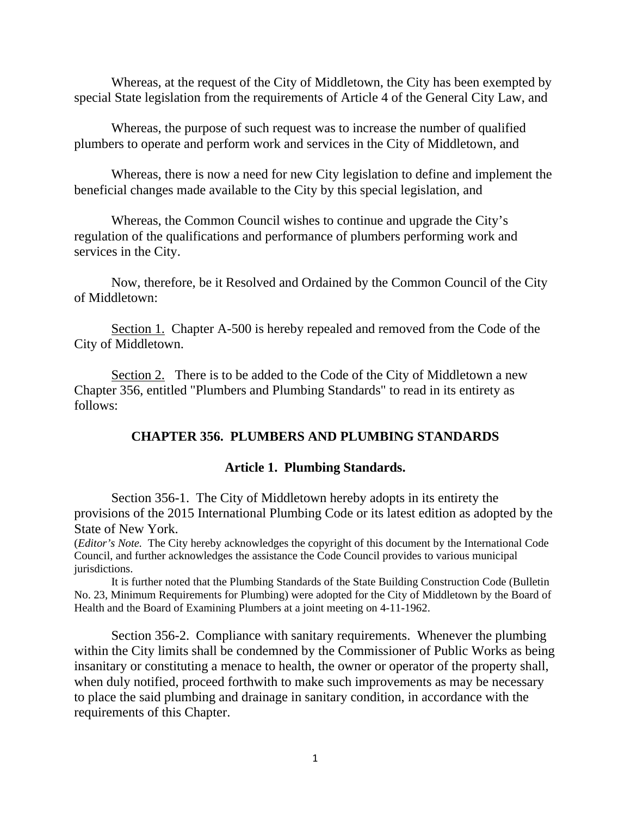Whereas, at the request of the City of Middletown, the City has been exempted by special State legislation from the requirements of Article 4 of the General City Law, and

 Whereas, the purpose of such request was to increase the number of qualified plumbers to operate and perform work and services in the City of Middletown, and

 Whereas, there is now a need for new City legislation to define and implement the beneficial changes made available to the City by this special legislation, and

 Whereas, the Common Council wishes to continue and upgrade the City's regulation of the qualifications and performance of plumbers performing work and services in the City.

 Now, therefore, be it Resolved and Ordained by the Common Council of the City of Middletown:

 Section 1. Chapter A-500 is hereby repealed and removed from the Code of the City of Middletown.

Section 2. There is to be added to the Code of the City of Middletown a new Chapter 356, entitled "Plumbers and Plumbing Standards" to read in its entirety as follows:

# **CHAPTER 356. PLUMBERS AND PLUMBING STANDARDS**

# **Article 1. Plumbing Standards.**

 Section 356-1. The City of Middletown hereby adopts in its entirety the provisions of the 2015 International Plumbing Code or its latest edition as adopted by the State of New York.

(*Editor's Note.* The City hereby acknowledges the copyright of this document by the International Code Council, and further acknowledges the assistance the Code Council provides to various municipal jurisdictions.

 It is further noted that the Plumbing Standards of the State Building Construction Code (Bulletin No. 23, Minimum Requirements for Plumbing) were adopted for the City of Middletown by the Board of Health and the Board of Examining Plumbers at a joint meeting on 4-11-1962.

 Section 356-2. Compliance with sanitary requirements. Whenever the plumbing within the City limits shall be condemned by the Commissioner of Public Works as being insanitary or constituting a menace to health, the owner or operator of the property shall, when duly notified, proceed forthwith to make such improvements as may be necessary to place the said plumbing and drainage in sanitary condition, in accordance with the requirements of this Chapter.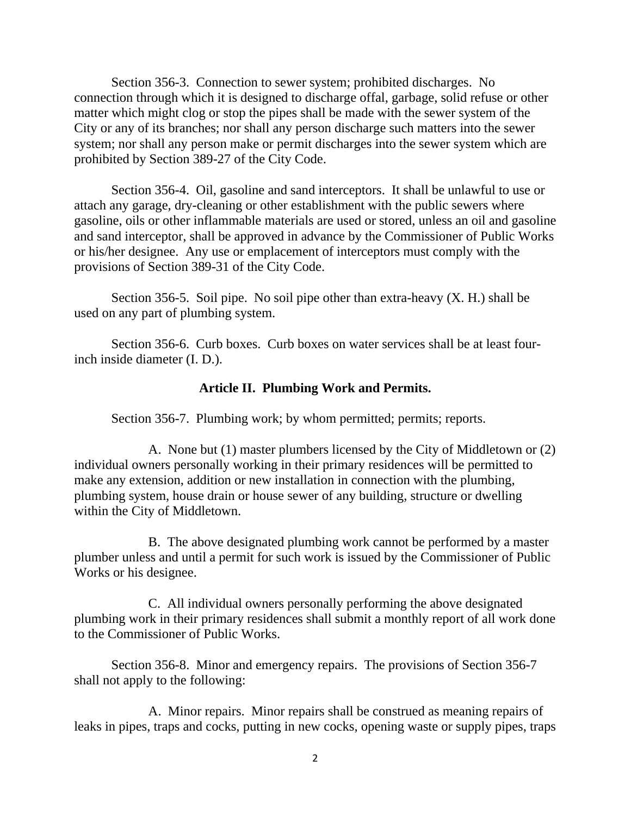Section 356-3. Connection to sewer system; prohibited discharges. No connection through which it is designed to discharge offal, garbage, solid refuse or other matter which might clog or stop the pipes shall be made with the sewer system of the City or any of its branches; nor shall any person discharge such matters into the sewer system; nor shall any person make or permit discharges into the sewer system which are prohibited by Section 389-27 of the City Code.

 Section 356-4. Oil, gasoline and sand interceptors. It shall be unlawful to use or attach any garage, dry-cleaning or other establishment with the public sewers where gasoline, oils or other inflammable materials are used or stored, unless an oil and gasoline and sand interceptor, shall be approved in advance by the Commissioner of Public Works or his/her designee. Any use or emplacement of interceptors must comply with the provisions of Section 389-31 of the City Code.

Section 356-5. Soil pipe. No soil pipe other than extra-heavy (X. H.) shall be used on any part of plumbing system.

 Section 356-6. Curb boxes. Curb boxes on water services shall be at least fourinch inside diameter (I. D.).

# **Article II. Plumbing Work and Permits.**

Section 356-7. Plumbing work; by whom permitted; permits; reports.

 A. None but (1) master plumbers licensed by the City of Middletown or (2) individual owners personally working in their primary residences will be permitted to make any extension, addition or new installation in connection with the plumbing, plumbing system, house drain or house sewer of any building, structure or dwelling within the City of Middletown.

 B. The above designated plumbing work cannot be performed by a master plumber unless and until a permit for such work is issued by the Commissioner of Public Works or his designee.

 C. All individual owners personally performing the above designated plumbing work in their primary residences shall submit a monthly report of all work done to the Commissioner of Public Works.

 Section 356-8. Minor and emergency repairs. The provisions of Section 356-7 shall not apply to the following:

 A. Minor repairs. Minor repairs shall be construed as meaning repairs of leaks in pipes, traps and cocks, putting in new cocks, opening waste or supply pipes, traps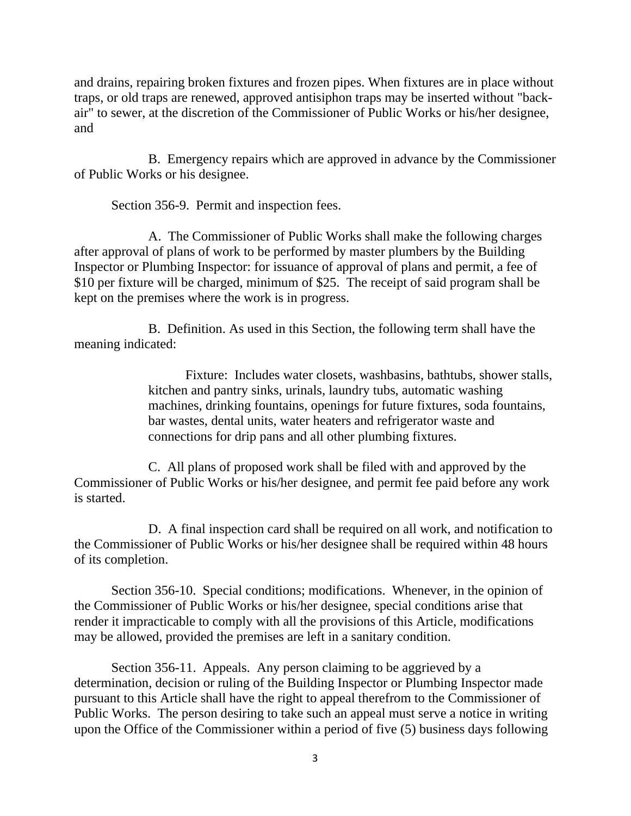and drains, repairing broken fixtures and frozen pipes. When fixtures are in place without traps, or old traps are renewed, approved antisiphon traps may be inserted without "backair" to sewer, at the discretion of the Commissioner of Public Works or his/her designee, and

 B. Emergency repairs which are approved in advance by the Commissioner of Public Works or his designee.

Section 356-9. Permit and inspection fees.

 A. The Commissioner of Public Works shall make the following charges after approval of plans of work to be performed by master plumbers by the Building Inspector or Plumbing Inspector: for issuance of approval of plans and permit, a fee of \$10 per fixture will be charged, minimum of \$25. The receipt of said program shall be kept on the premises where the work is in progress.

 B. Definition. As used in this Section, the following term shall have the meaning indicated:

> Fixture: Includes water closets, washbasins, bathtubs, shower stalls, kitchen and pantry sinks, urinals, laundry tubs, automatic washing machines, drinking fountains, openings for future fixtures, soda fountains, bar wastes, dental units, water heaters and refrigerator waste and connections for drip pans and all other plumbing fixtures.

 C. All plans of proposed work shall be filed with and approved by the Commissioner of Public Works or his/her designee, and permit fee paid before any work is started.

 D. A final inspection card shall be required on all work, and notification to the Commissioner of Public Works or his/her designee shall be required within 48 hours of its completion.

 Section 356-10. Special conditions; modifications. Whenever, in the opinion of the Commissioner of Public Works or his/her designee, special conditions arise that render it impracticable to comply with all the provisions of this Article, modifications may be allowed, provided the premises are left in a sanitary condition.

Section 356-11. Appeals. Any person claiming to be aggrieved by a determination, decision or ruling of the Building Inspector or Plumbing Inspector made pursuant to this Article shall have the right to appeal therefrom to the Commissioner of Public Works. The person desiring to take such an appeal must serve a notice in writing upon the Office of the Commissioner within a period of five (5) business days following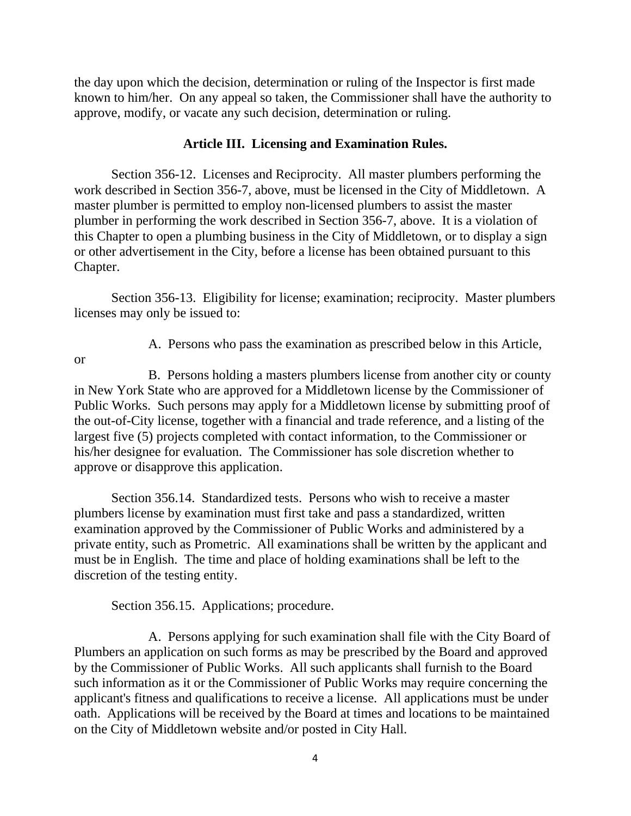the day upon which the decision, determination or ruling of the Inspector is first made known to him/her. On any appeal so taken, the Commissioner shall have the authority to approve, modify, or vacate any such decision, determination or ruling.

# **Article III. Licensing and Examination Rules.**

 Section 356-12. Licenses and Reciprocity. All master plumbers performing the work described in Section 356-7, above, must be licensed in the City of Middletown. A master plumber is permitted to employ non-licensed plumbers to assist the master plumber in performing the work described in Section 356-7, above. It is a violation of this Chapter to open a plumbing business in the City of Middletown, or to display a sign or other advertisement in the City, before a license has been obtained pursuant to this Chapter.

 Section 356-13. Eligibility for license; examination; reciprocity. Master plumbers licenses may only be issued to:

or

A. Persons who pass the examination as prescribed below in this Article,

 B. Persons holding a masters plumbers license from another city or county in New York State who are approved for a Middletown license by the Commissioner of Public Works. Such persons may apply for a Middletown license by submitting proof of the out-of-City license, together with a financial and trade reference, and a listing of the largest five (5) projects completed with contact information, to the Commissioner or his/her designee for evaluation. The Commissioner has sole discretion whether to approve or disapprove this application.

 Section 356.14. Standardized tests. Persons who wish to receive a master plumbers license by examination must first take and pass a standardized, written examination approved by the Commissioner of Public Works and administered by a private entity, such as Prometric. All examinations shall be written by the applicant and must be in English. The time and place of holding examinations shall be left to the discretion of the testing entity.

Section 356.15. Applications; procedure.

 A. Persons applying for such examination shall file with the City Board of Plumbers an application on such forms as may be prescribed by the Board and approved by the Commissioner of Public Works. All such applicants shall furnish to the Board such information as it or the Commissioner of Public Works may require concerning the applicant's fitness and qualifications to receive a license. All applications must be under oath. Applications will be received by the Board at times and locations to be maintained on the City of Middletown website and/or posted in City Hall.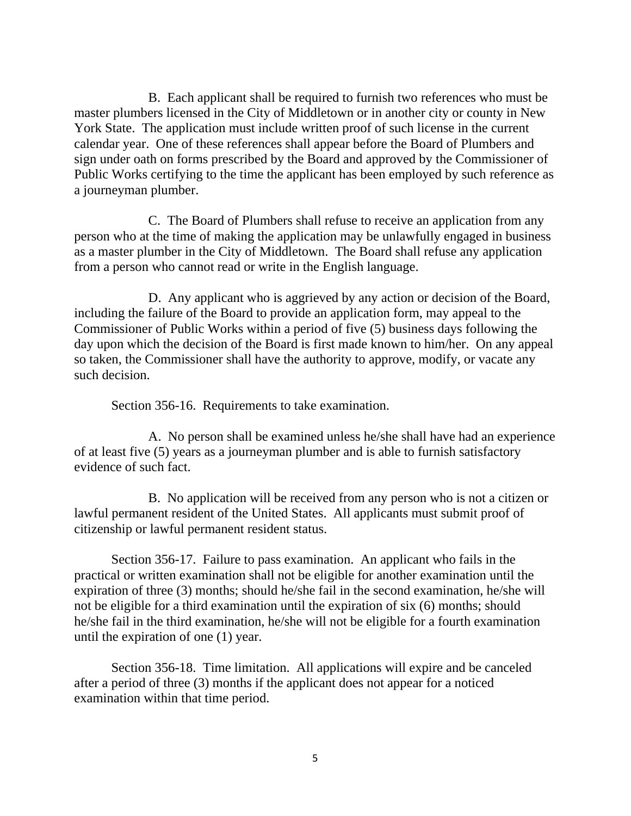B. Each applicant shall be required to furnish two references who must be master plumbers licensed in the City of Middletown or in another city or county in New York State. The application must include written proof of such license in the current calendar year. One of these references shall appear before the Board of Plumbers and sign under oath on forms prescribed by the Board and approved by the Commissioner of Public Works certifying to the time the applicant has been employed by such reference as a journeyman plumber.

 C. The Board of Plumbers shall refuse to receive an application from any person who at the time of making the application may be unlawfully engaged in business as a master plumber in the City of Middletown. The Board shall refuse any application from a person who cannot read or write in the English language.

 D. Any applicant who is aggrieved by any action or decision of the Board, including the failure of the Board to provide an application form, may appeal to the Commissioner of Public Works within a period of five (5) business days following the day upon which the decision of the Board is first made known to him/her. On any appeal so taken, the Commissioner shall have the authority to approve, modify, or vacate any such decision.

Section 356-16. Requirements to take examination.

 A. No person shall be examined unless he/she shall have had an experience of at least five (5) years as a journeyman plumber and is able to furnish satisfactory evidence of such fact.

 B. No application will be received from any person who is not a citizen or lawful permanent resident of the United States. All applicants must submit proof of citizenship or lawful permanent resident status.

Section 356-17. Failure to pass examination. An applicant who fails in the practical or written examination shall not be eligible for another examination until the expiration of three (3) months; should he/she fail in the second examination, he/she will not be eligible for a third examination until the expiration of six (6) months; should he/she fail in the third examination, he/she will not be eligible for a fourth examination until the expiration of one (1) year.

 Section 356-18. Time limitation. All applications will expire and be canceled after a period of three (3) months if the applicant does not appear for a noticed examination within that time period.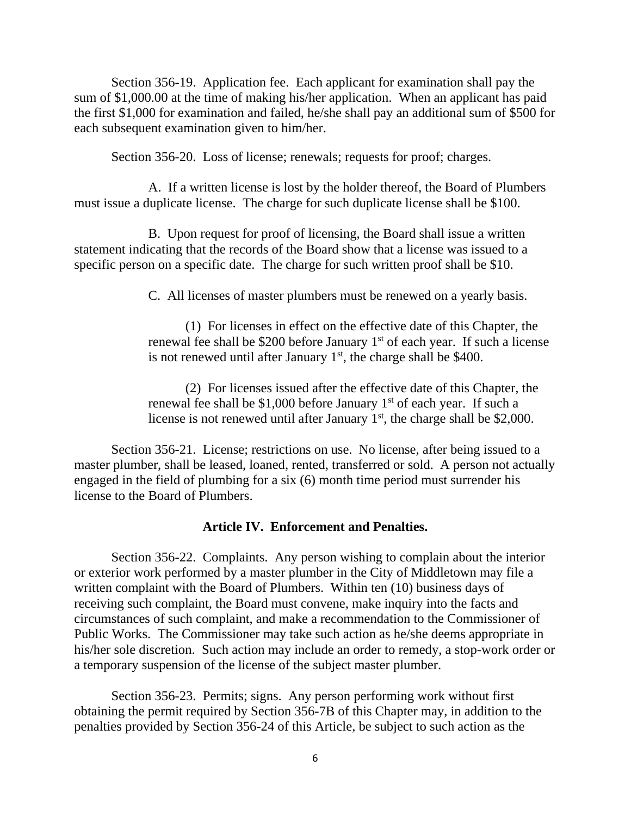Section 356-19. Application fee. Each applicant for examination shall pay the sum of \$1,000.00 at the time of making his/her application. When an applicant has paid the first \$1,000 for examination and failed, he/she shall pay an additional sum of \$500 for each subsequent examination given to him/her.

Section 356-20. Loss of license; renewals; requests for proof; charges.

A. If a written license is lost by the holder thereof, the Board of Plumbers must issue a duplicate license. The charge for such duplicate license shall be \$100.

B. Upon request for proof of licensing, the Board shall issue a written statement indicating that the records of the Board show that a license was issued to a specific person on a specific date. The charge for such written proof shall be \$10.

C. All licenses of master plumbers must be renewed on a yearly basis.

(1) For licenses in effect on the effective date of this Chapter, the renewal fee shall be \$200 before January  $1<sup>st</sup>$  of each year. If such a license is not renewed until after January  $1<sup>st</sup>$ , the charge shall be \$400.

(2) For licenses issued after the effective date of this Chapter, the renewal fee shall be \$1,000 before January  $1<sup>st</sup>$  of each year. If such a license is not renewed until after January  $1<sup>st</sup>$ , the charge shall be \$2,000.

 Section 356-21. License; restrictions on use. No license, after being issued to a master plumber, shall be leased, loaned, rented, transferred or sold. A person not actually engaged in the field of plumbing for a six (6) month time period must surrender his license to the Board of Plumbers.

## **Article IV. Enforcement and Penalties.**

 Section 356-22. Complaints. Any person wishing to complain about the interior or exterior work performed by a master plumber in the City of Middletown may file a written complaint with the Board of Plumbers. Within ten (10) business days of receiving such complaint, the Board must convene, make inquiry into the facts and circumstances of such complaint, and make a recommendation to the Commissioner of Public Works. The Commissioner may take such action as he/she deems appropriate in his/her sole discretion. Such action may include an order to remedy, a stop-work order or a temporary suspension of the license of the subject master plumber.

 Section 356-23. Permits; signs. Any person performing work without first obtaining the permit required by Section 356-7B of this Chapter may, in addition to the penalties provided by Section 356-24 of this Article, be subject to such action as the